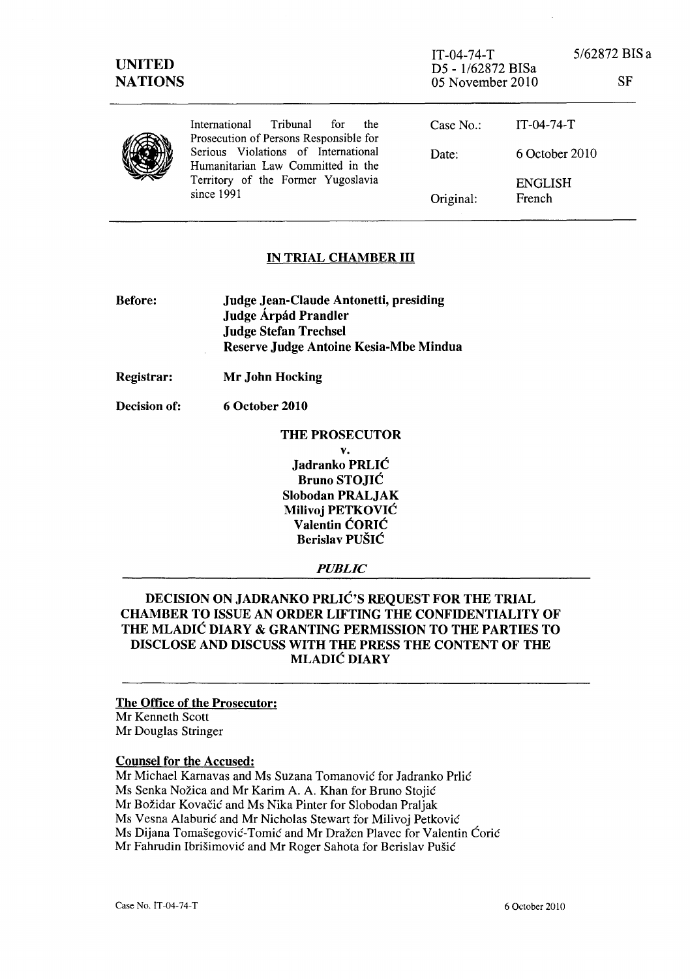| <b>UNITED</b><br><b>NATIONS</b> |                                                                                                                              | $IT-04-74-T$<br>D5 - 1/62872 BISa<br>05 November 2010 |                | 5/62872 BIS a<br>SF |
|---------------------------------|------------------------------------------------------------------------------------------------------------------------------|-------------------------------------------------------|----------------|---------------------|
|                                 | Tribunal<br>International<br>for<br>the<br>Prosecution of Persons Responsible for                                            | Case No.                                              | $IT-04-74-T$   |                     |
|                                 | Serious Violations of International<br>Humanitarian Law Committed in the<br>Territory of the Former Yugoslavia<br>since 1991 | Date:                                                 | 6 October 2010 |                     |
|                                 |                                                                                                                              | Original:                                             | French         | <b>ENGLISH</b>      |

## IN TRIAL CHAMBER III

Before:

Judge Jean-Claude Antonetti, presiding Judge Árpád Prandler Judge Stefan Trechsel Reserve Judge Antoine Kesia-Mbe Mindua

Registrar: Mr John Hocking

Decision of: 6 October 2010

> THE PROSECUTOR v. Jadranko PRLIC Bruno STOJIC Slobodan PRALJAK Milivoj PETKOVIC Valentin CORIC Berislav PUSIC

> > *PUBLIC*

DECISION ON JADRANKO PRLIC'S REQUEST FOR THE TRIAL CHAMBER TO ISSUE AN ORDER LIFTING THE CONFIDENTIALITY OF THE MLADIC DIARY & GRANTING PERMISSION TO THE PARTIES TO DISCLOSE AND DISCUSS WITH THE PRESS THE CONTENT OF THE MLADIC DIARY

## The Office of the Prosecutor:

Mr Kenneth Scott Mr Douglas Stringer

## Counsel for the Accused:

Mr Michael Kamavas and Ms Suzana Tomanovic for Iadranko Prlic Ms Senka Nozica and Mr Karim A. A. Khan for Bruno Stojic Mr Božidar Kovačić and Ms Nika Pinter for Slobodan Praljak Ms Vesna Alaburić and Mr Nicholas Stewart for Milivoj Petković Ms Dijana Tomašegović-Tomić and Mr Dražen Plavec for Valentin Ćorić Mr Fahrudin Ibrišimović and Mr Roger Sahota for Berislav Pušić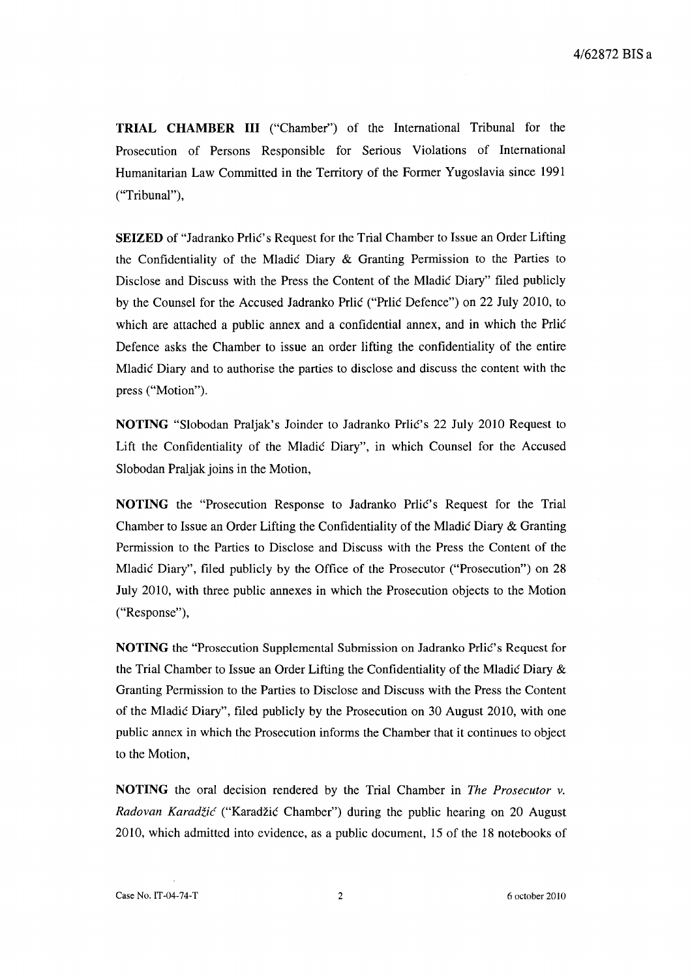**TRIAL CHAMBER III** ("Chamber") of the International Tribunal for the Prosecution of Persons Responsible for Serious Violations of International Humanitarian Law Committed in the Territory of the Former Yugoslavia since 1991 ("Tribunal"),

**SEIZED** of "Jadranko Prlic's Request for the Trial Chamber to Issue an Order Lifting the Confidentiality of the Mladic Diary & Granting Permission to the Parties to Disclose and Discuss with the Press the Content of the Mladic Diary" filed publicly by the Counsel for the Accused Jadranko Prlic ("Prlic Defence") on 22 July 2010, to which are attached a public annex and a confidential annex, and in which the Prlic Defence asks the Chamber to issue an order lifting the confidentiality of the entire Mladic Diary and to authorise the parties to disclose and discuss the content with the press ("Motion").

**NOTING** "Slobodan Praljak's Joinder to Jadranko Prlic's 22 July 2010 Request to Lift the Confidentiality of the Mladic Diary", in which Counsel for the Accused Slobodan Praljak joins in the Motion,

**NOTING** the "Prosecution Response to Jadranko Prlic's Request for the Trial Chamber to Issue an Order Lifting the Confidentiality of the Mladic Diary & Granting Permission to the Parties to Disclose and Discuss with the Press the Content of the Mladic Diary", filed publicly by the Office of the Prosecutor ("Prosecution") on 28 July 2010, with three public annexes in which the Prosecution objects to the Motion ("Response"),

**NOTING** the "Prosecution Supplemental Submission on Jadranko Prlic's Request for the Trial Chamber to Issue an Order Lifting the Confidentiality of the Mladic Diary & Granting Permission to the Parties to Disclose and Discuss with the Press the Content of the Mladic Diary", filed publicly by the Prosecution on 30 August 2010, with one public annex in which the Prosecution informs the Chamber that it continues to object to the Motion,

**NOTING** the oral decision rendered by the Trial Chamber in *The Prosecutor v. Radovan Karadiic* ("Karadzic Chamber") during the public hearing on 20 August 2010, which admitted into evidence, as a public document, 15 of the 18 notebooks of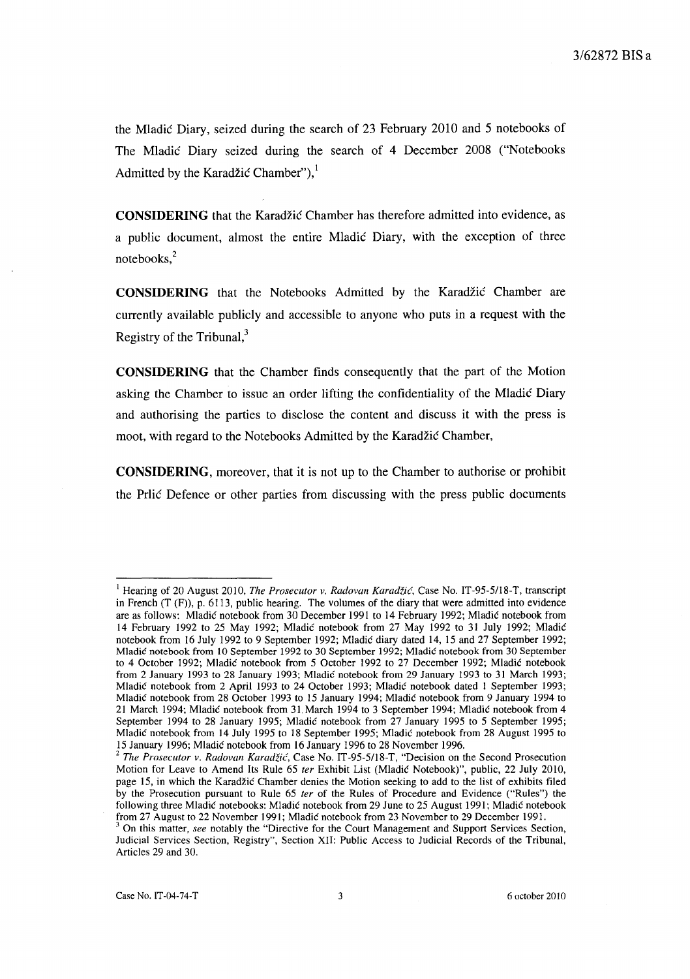the Mladic Diary, seized during the search of 23 February 2010 and 5 notebooks of The Mladic Diary seized during the search of 4 December 2008 ("Notebooks") Admitted by the Karadžić Chamber"), $<sup>1</sup>$ </sup>

**CONSIDERING** that the Karadžić Chamber has therefore admitted into evidence, as a public document, almost the entire Mladic Diary, with the exception of three notebooks,<sup>2</sup>

**CONSIDERING** that the Notebooks Admitted by the Karadzic Chamber are currently available publicly and accessible to anyone who puts in a request with the Registry of the Tribunal, $3$ 

**CONSIDERING** that the Chamber finds consequently that the part of the Motion asking the Chamber to issue an order lifting the confidentiality of the Mladic Diary and authorising the parties to disclose the content and discuss it with the press is moot, with regard to the Notebooks Admitted by the Karadžić Chamber,

**CONSIDERING,** moreover, that it is not up to the Chamber to authorise or prohibit the Prlic Defence or other parties from discussing with the press public documents

<sup>&</sup>lt;sup>1</sup> Hearing of 20 August 2010, *The Prosecutor v. Radovan Karadžić*, Case No. IT-95-5/18-T, transcript in French (T (F)), p. 6113, public hearing. The volumes of the diary that were admitted into evidence are as follows: Mladic notebook from 30 December 1991 to 14 February 1992; Mladic notebook from 14 February 1992 to 25 May 1992; Mladic notebook from 27 May 1992 to 31 July 1992; Mladic notebook from 16 July 1992 to 9 September 1992; Mladic diary dated 14, 15 and 27 September 1992; Mladic notebook from 10 September 1992 to 30 September 1992; Mladic notebook from 30 September to 4 October 1992; Mladic notebook from 5 October 1992 to 27 December 1992; Mladic notebook from 2 January 1993 to 28 January 1993; Mladic notebook from 29 January 1993 to 31 March 1993; Mladic notebook from 2 April 1993 to 24 October 1993; Mladic notebook dated I September 1993; Mladic notebook from 28 October 1993 to 15 January 1994; Mladic notebook from 9 January 1994 to 21 March 1994; Mladic notebook from 31. March 1994 to 3 September 1994; Mladic notebook from 4 September 1994 to 28 January 1995; Mladic notebook from 27 January 1995 to 5 September 1995; Mladic notebook from 14 July 1995 to 18 September 1995; Mladic notebook from 28 August 1995 to 15 January 1996; Mladic notebook from 16 January 1996 to 28 November 1996.

<sup>2</sup>*The Prosecutor v. Radovan Karadzic,* Case No. IT -95-5/18-T, "Decision on the Second Prosecution Motion for Leave to Amend Its Rule 65 *ter* Exhibit List (Mladic Notebook)", public, 22 July 2010, page 15, in which the Karadzic Chamber denies the Motion seeking to add to the list of exhibits filed by the Prosecution pursuant to Rule 65 *ter* of the Rules of Procedure and Evidence ("Rules") the following three Mladic notebooks: Mladic notebook from 29 June to 25 August 1991; Mladic notebook from 27 August to 22 November 1991; Mladic notebook from 23 November to 29 December 1991.

<sup>3</sup>On this matter, *see* notably the "Directive for the Court Management and Support Services Section, Judicial Services Section, Registry", Section XII: Public Access to Judicial Records of the Tribunal, Articles 29 and 30.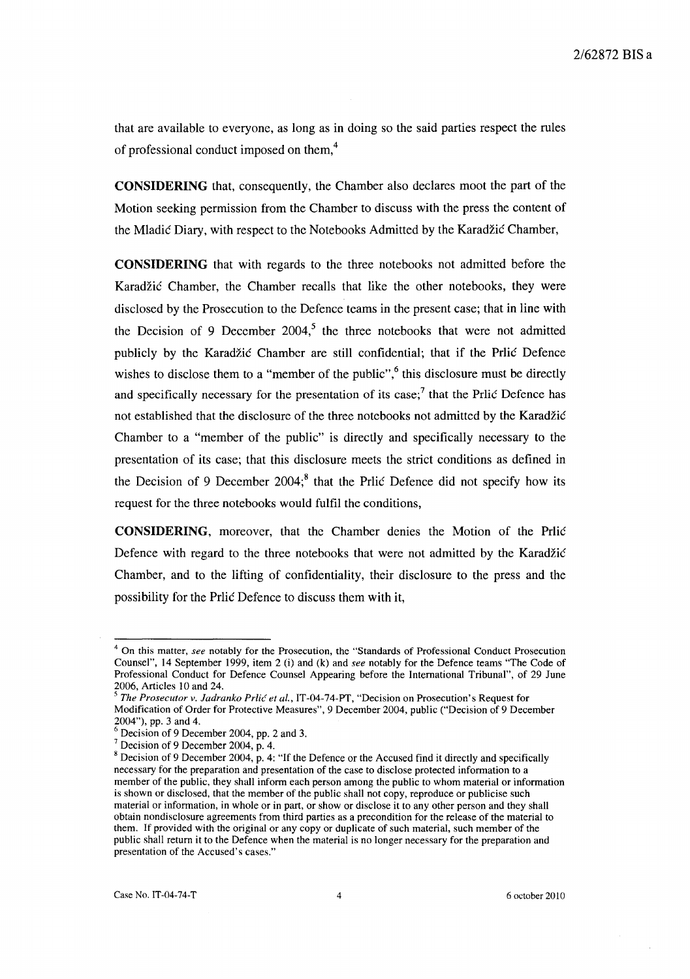that are available to everyone, as long as in doing so the said parties respect the rules of professional conduct imposed on them,4

**CONSIDERING** that, consequently, the Chamber also declares moot the part of the Motion seeking permission from the Chamber to discuss with the press the content of the Mladic Diary, with respect to the Notebooks Admitted by the Karadžic Chamber,

**CONSIDERING** that with regards to the three notebooks not admitted before the Karadžić Chamber, the Chamber recalls that like the other notebooks, they were disclosed by the Prosecution to the Defence teams in the present case; that in line with the Decision of 9 December  $2004$ ,<sup>5</sup> the three notebooks that were not admitted publicly by the Karadzic Chamber are still confidential; that if the Prlic Defence wishes to disclose them to a "member of the public",<sup>6</sup> this disclosure must be directly and specifically necessary for the presentation of its case;<sup>7</sup> that the Prlic Defence has not established that the disclosure of the three notebooks not admitted by the Karadzic Chamber to a "member of the public" is directly and specifically necessary to the presentation of its case; that this disclosure meets the strict conditions as defined in the Decision of 9 December 2004;<sup>8</sup> that the Prlic Defence did not specify how its request for the three notebooks would fulfil the conditions,

**CONSIDERING,** moreover, that the Chamber denies the Motion of the Prlic Defence with regard to the three notebooks that were not admitted by the Karadzic Chamber, and to the lifting of confidentiality, their disclosure to the press and the possibility for the Prlic Defence to discuss them with it,

<sup>4</sup> On this matter, *see* notably for the Prosecution, the "Standards of Professional Conduct Prosecution Counsel", 14 September 1999, item 2 (i) and (k) and *see* notably for the Defence teams "The Code of Professional Conduct for Defence Counsel Appearing before the International Tribunal", of 29 June 2006, Articles 10 and 24.

<sup>5</sup>*The Prosecutor v. ladranko Prlic et al.,* IT -04-74-PT, "Decision on Prosecution's Request for Modification of Order for Protective Measures", 9 December 2004, public ("Decision of 9 December 2004"), pp. 3 and 4.

<sup>6</sup> Decision of 9 December 2004, pp. 2 and 3.

 $<sup>7</sup>$  Decision of 9 December 2004, p. 4.</sup>

 $8$  Decision of 9 December 2004, p. 4: "If the Defence or the Accused find it directly and specifically necessary for the preparation and presentation of the case to disclose protected information to a member of the public, they shall inform each person among the public to whom material or information is shown or disclosed, that the member of the public shall not copy, reproduce or publicise such material or information, in whole or in part, or show or disclose it to any other person and they shall obtain nondisclosure agreements from third parties as a precondition for the release of the material to them. If provided with the original or any copy or duplicate of such material, such member of the public shall return it to the Defence when the material is no longer necessary for the preparation and presentation of the Accused's cases."